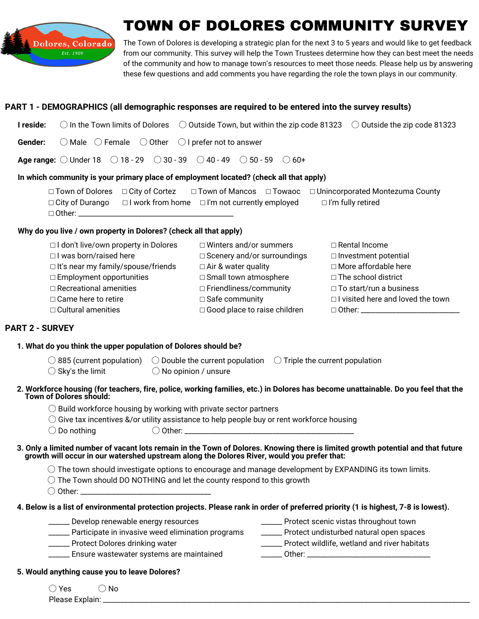

# 'OWN OF DOLORES COMMUNITY SURV

The Town of Dolores is developing a strategic plan for the next 3 to 5 years and would like to get feedback from our community. This survey will help the Town Trustees determine how they can best meet the needs of the community and how to manage town's resources to meet those needs. Please help us by answering these few questions and add comments you have regarding the role the town plays in our community.

#### **PART 1 - DEMOGRAPHICS (all demographic responses are required to be entered into the survey results)**

| <b>I reside:</b> $\bigcirc$ In the Town limits of Dolores $\bigcirc$ Outside Town, but within the zip code 81323 $\bigcirc$ Outside the zip code 81323 |  |
|--------------------------------------------------------------------------------------------------------------------------------------------------------|--|
| <b>Gender:</b> $\bigcirc$ Male $\bigcirc$ Female $\bigcirc$ Other $\bigcirc$ I prefer not to answer                                                    |  |
| <b>Age range:</b> $\bigcirc$ Under 18 $\bigcirc$ 18 - 29 $\bigcirc$ 30 - 39 $\bigcirc$ 40 - 49 $\bigcirc$ 50 - 59 $\bigcirc$ 60+                       |  |
|                                                                                                                                                        |  |

#### **In which community is your primary place of employment located? (check all that apply)**

| $\Box$ Town of Dolores $\Box$ City of Cortez |                                                                                  | $\Box$ Town of Mancos $\Box$ Towaoc $\Box$ Unincorporated Montezuma County |
|----------------------------------------------|----------------------------------------------------------------------------------|----------------------------------------------------------------------------|
|                                              | $\Box$ City of Durango $\Box$ I work from home $\Box$ I'm not currently employed | $\Box$ I'm fully retired                                                   |
| $\Box$ Other:                                |                                                                                  |                                                                            |

#### **Why do you live / own property in Dolores? (check all that apply)**

| □ I don't live/own property in Dolores    | $\Box$ Winters and/or summers      | □ Rental Income                          |
|-------------------------------------------|------------------------------------|------------------------------------------|
| $\Box$ I was born/raised here             | $\Box$ Scenery and/or surroundings | $\Box$ Investment potential              |
| $\Box$ It's near my family/spouse/friends | $\Box$ Air & water quality         | □ More affordable here                   |
| $\Box$ Employment opportunities           | $\Box$ Small town atmosphere       | $\Box$ The school district               |
| $\Box$ Recreational amenities             | □ Friendliness/community           | $\Box$ To start/run a business           |
| $\Box$ Came here to retire                | $\Box$ Safe community              | $\Box$ I visited here and loved the town |
| $\Box$ Cultural amenities                 | □ Good place to raise children     |                                          |

### **PART 2 - SURVEY**

#### **1. What do you think the upper population of Dolores should be?**

 $\bigcirc$  885 (current population)  $\bigcirc$  Double the current population  $\bigcirc$  Triple the current population

- $\bigcirc$  Sky's the limit  $\bigcirc$  No opinion / unsure
- 2. Workforce housing (for teachers, fire, police, working families, etc.) in Dolores has become unattainable. Do you feel that the **Town of Dolores should:**
	- $\bigcirc$  Build workforce housing by working with private sector partners
	- ◯ Give tax incentives &/or utility assistance to help people buy or rent workforce housing

| $\bigcirc$ Do nothing | .)ther |
|-----------------------|--------|
|-----------------------|--------|

3. Only a limited number of vacant lots remain in the Town of Dolores. Knowing there is limited growth potential and that future **growth will occur in our watershed upstream along the Dolores River, would you prefer that:**

 $\bigcirc$  The town should investigate options to encourage and manage development by EXPANDING its town limits.

- ◯ The Town should DO NOTHING and let the county respond to this growth
- $\bigcirc$  Other:

## 4. Below is a list of environmental protection projects. Please rank in order of preferred priority (1 is highest, 7-8 is lowest).

| Develop renewable energy resources                | Protect scenic vistas throughout town   |
|---------------------------------------------------|-----------------------------------------|
| Participate in invasive weed elimination programs | Protect undisturbed natural open spaces |

\_\_\_\_\_\_ Protect Dolores drinking water

\_\_\_\_\_\_ Ensure wastewater systems are maintained

\_\_\_\_\_\_ Protect wildlife, wetland and river habitats \_\_\_\_\_\_ Other: \_\_\_\_\_\_\_\_\_\_\_\_\_\_\_\_\_\_\_\_\_\_\_\_\_\_\_\_\_\_\_\_\_\_\_

- **5. Would anything cause you to leave Dolores?**
	- $\bigcirc$  Yes  $\bigcirc$  No

Please Explain: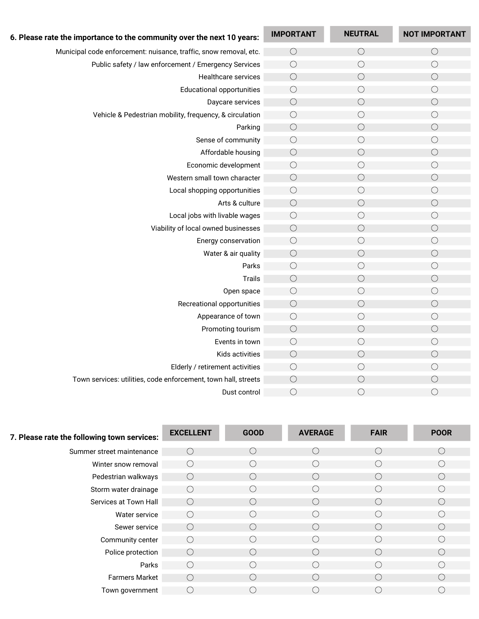| 6. Please rate the importance to the community over the next 10 years: | <b>IMPORTANT</b> | <b>NEUTRAL</b> | <b>NOT IMPORTANT</b> |
|------------------------------------------------------------------------|------------------|----------------|----------------------|
| Municipal code enforcement: nuisance, traffic, snow removal, etc.      |                  | $\bigcirc$     |                      |
|                                                                        | $\bigcirc$       |                | $\bigcirc$           |
| Public safety / law enforcement / Emergency Services                   | $\bigcirc$       | $\bigcirc$     | $\bigcirc$           |
| Healthcare services                                                    | $\bigcirc$       | $\bigcirc$     | $\bigcirc$           |
| <b>Educational opportunities</b>                                       | $\bigcirc$       | $\bigcirc$     | $\bigcirc$           |
| Daycare services                                                       | $\bigcirc$       | $\bigcirc$     | $\bigcirc$           |
| Vehicle & Pedestrian mobility, frequency, & circulation                | $\bigcirc$       | $\bigcirc$     | $\bigcirc$           |
| Parking                                                                | $\bigcirc$       | $\bigcirc$     | $\bigcirc$           |
| Sense of community                                                     | $\bigcirc$       | $\bigcirc$     | $\bigcirc$           |
| Affordable housing                                                     | $\bigcirc$       | $\bigcirc$     | $\bigcirc$           |
| Economic development                                                   | $\bigcirc$       | $\bigcirc$     | $\bigcirc$           |
| Western small town character                                           | $\bigcirc$       | $\bigcirc$     | $\bigcirc$           |
| Local shopping opportunities                                           | $\bigcirc$       | $\bigcirc$     | $\bigcirc$           |
| Arts & culture                                                         | $\bigcirc$       | $\bigcirc$     | $\bigcirc$           |
| Local jobs with livable wages                                          | $\bigcirc$       | $\bigcirc$     | $\bigcirc$           |
| Viability of local owned businesses                                    | $\bigcirc$       | $\bigcirc$     | $\bigcirc$           |
| Energy conservation                                                    | $\bigcirc$       | $\bigcirc$     | $\bigcirc$           |
| Water & air quality                                                    | $\bigcirc$       | $\bigcirc$     | $\bigcirc$           |
| Parks                                                                  | $\bigcirc$       | $\bigcirc$     | $\bigcirc$           |
| <b>Trails</b>                                                          | $\bigcirc$       | $\bigcirc$     | $\bigcirc$           |
| Open space                                                             | $\bigcirc$       | $\bigcirc$     | $\bigcirc$           |
| Recreational opportunities                                             | $\bigcirc$       | $\bigcirc$     | $\bigcirc$           |
| Appearance of town                                                     | $\bigcirc$       | $\bigcirc$     | $\bigcirc$           |
| Promoting tourism                                                      | $\bigcirc$       | $\bigcirc$     | $\bigcirc$           |
| Events in town                                                         | $\bigcirc$       | $\bigcirc$     | $\bigcirc$           |
| Kids activities                                                        | $\bigcirc$       | $\bigcirc$     | $\bigcirc$           |
| Elderly / retirement activities                                        | $\bigcirc$       | $\bigcirc$     | $\bigcirc$           |
| Town services: utilities, code enforcement, town hall, streets         | $\bigcirc$       | $\bigcirc$     | $\bigcirc$           |
| Dust control                                                           | $\bigcirc$       | $\bigcirc$     | $\bigcirc$           |

| 7. Please rate the following town services: | <b>EXCELLENT</b>                              | <b>GOOD</b> | <b>AVERAGE</b>                                | <b>FAIR</b> | <b>POOR</b> |
|---------------------------------------------|-----------------------------------------------|-------------|-----------------------------------------------|-------------|-------------|
| Summer street maintenance                   | (.                                            |             |                                               |             |             |
| Winter snow removal                         | (                                             |             |                                               |             |             |
| Pedestrian walkways                         | $\left( \begin{array}{c} \end{array} \right)$ |             | (                                             |             |             |
| Storm water drainage                        | $\left( \begin{array}{c} \end{array} \right)$ |             | (                                             |             |             |
| Services at Town Hall                       | $\left( \quad \right)$                        |             | $($ )                                         | Ο.          |             |
| Water service                               | $\left(\begin{array}{c} \end{array}\right)$   |             |                                               |             |             |
| Sewer service                               | (                                             |             | $\left( \quad \right)$                        | (           |             |
| Community center                            | $\left( \begin{array}{c} \end{array} \right)$ |             | $(\quad)$                                     |             |             |
| Police protection                           | $\left( \quad \right)$                        |             | ( )                                           | (           |             |
| Parks                                       | $\left( \begin{array}{c} \end{array} \right)$ |             | (                                             |             |             |
| <b>Farmers Market</b>                       | $\left( \begin{array}{c} \end{array} \right)$ |             | $\left( \begin{array}{c} \end{array} \right)$ | ſ.,         |             |
| Town government                             | (                                             |             |                                               |             |             |